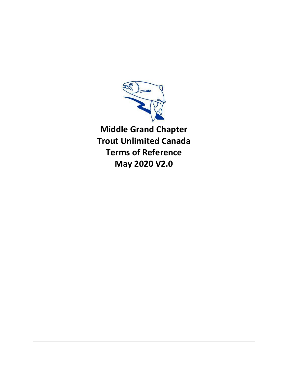

**Middle Grand Chapter Trout Unlimited Canada Terms of Reference May 2020 V2.0**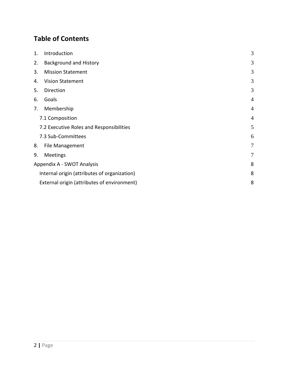# **Table of Contents**

| 1. | Introduction                                 | 3              |
|----|----------------------------------------------|----------------|
| 2. | <b>Background and History</b>                | 3              |
| 3. | <b>Mission Statement</b>                     | 3              |
| 4. | <b>Vision Statement</b>                      | 3              |
| 5. | Direction                                    | 3              |
| 6. | Goals                                        | $\overline{4}$ |
| 7. | Membership                                   | $\overline{4}$ |
|    | 7.1 Composition                              | $\overline{4}$ |
|    | 7.2 Executive Roles and Responsibilities     | 5              |
|    | 7.3 Sub-Committees                           | 6              |
| 8. | <b>File Management</b>                       | 7              |
| 9. | Meetings                                     | 7              |
|    | Appendix A - SWOT Analysis                   |                |
|    | Internal origin (attributes of organization) | 8              |
|    | External origin (attributes of environment)  | 8              |
|    |                                              |                |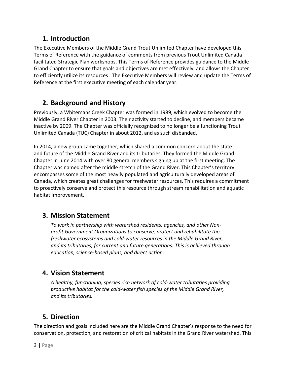## <span id="page-2-0"></span>**1. Introduction**

The Executive Members of the Middle Grand Trout Unlimited Chapter have developed this Terms of Reference with the guidance of comments from previous Trout Unlimited Canada facilitated Strategic Plan workshops. This Terms of Reference provides guidance to the Middle Grand Chapter to ensure that goals and objectives are met effectively, and allows the Chapter to efficiently utilize its resources . The Executive Members will review and update the Terms of Reference at the first executive meeting of each calendar year.

## <span id="page-2-1"></span>**2. Background and History**

Previously, a Whitemans Creek Chapter was formed in 1989, which evolved to become the Middle Grand River Chapter in 2003. Their activity started to decline, and members became inactive by 2009. The Chapter was officially recognized to no longer be a functioning Trout Unlimited Canada (TUC) Chapter in about 2012, and as such disbanded.

In 2014, a new group came together, which shared a common concern about the state and future of the Middle Grand River and its tributaries. They formed the Middle Grand Chapter in June 2014 with over 80 general members signing up at the first meeting. The Chapter was named after the middle stretch of the Grand River. This Chapter's territory encompasses some of the most heavily populated and agriculturally developed areas of Canada, which creates great challenges for freshwater resources. This requires a commitment to proactively conserve and protect this resource through stream rehabilitation and aquatic habitat improvement.

## <span id="page-2-2"></span>**3. Mission Statement**

*To work in partnership with watershed residents, agencies, and other Nonprofit Government Organizations to conserve, protect and rehabilitate the freshwater ecosystems and cold-water resources in the Middle Grand River, and its tributaries, for current and future generations. This is achieved through education, science-based plans, and direct action.* 

## <span id="page-2-3"></span>**4. Vision Statement**

*A healthy, functioning, species rich network of cold-water tributaries providing productive habitat for the cold-water fish species of the Middle Grand River, and its tributaries.* 

# <span id="page-2-4"></span>**5. Direction**

The direction and goals included here are the Middle Grand Chapter's response to the need for conservation, protection, and restoration of critical habitats in the Grand River watershed. This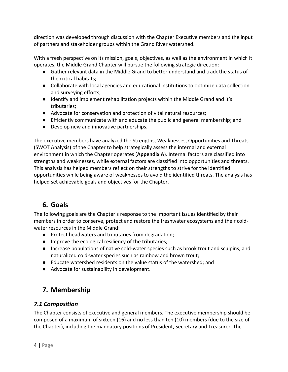direction was developed through discussion with the Chapter Executive members and the input of partners and stakeholder groups within the Grand River watershed.

With a fresh perspective on its mission, goals, objectives, as well as the environment in which it operates, the Middle Grand Chapter will pursue the following strategic direction:

- Gather relevant data in the Middle Grand to better understand and track the status of the critical habitats;
- Collaborate with local agencies and educational institutions to optimize data collection and surveying efforts;
- Identify and implement rehabilitation projects within the Middle Grand and it's tributaries;
- Advocate for conservation and protection of vital natural resources;
- Efficiently communicate with and educate the public and general membership; and
- Develop new and innovative partnerships.

The executive members have analyzed the Strengths, Weaknesses, Opportunities and Threats (SWOT Analysis) of the Chapter to help strategically assess the internal and external environment in which the Chapter operates (**Appendix A**). Internal factors are classified into strengths and weaknesses, while external factors are classified into opportunities and threats. This analysis has helped members reflect on their strengths to strive for the identified opportunities while being aware of weaknesses to avoid the identified threats. The analysis has helped set achievable goals and objectives for the Chapter.

## <span id="page-3-0"></span>**6. Goals**

The following goals are the Chapter's response to the important issues identified by their members in order to conserve, protect and restore the freshwater ecosystems and their coldwater resources in the Middle Grand:

- Protect headwaters and tributaries from degradation;
- Improve the ecological resiliency of the tributaries;
- Increase populations of native cold-water species such as brook trout and sculpins, and naturalized cold-water species such as rainbow and brown trout;
- Educate watershed residents on the value status of the watershed; and
- Advocate for sustainability in development.

## <span id="page-3-1"></span>**7. Membership**

#### <span id="page-3-2"></span>*7.1 Composition*

The Chapter consists of executive and general members. The executive membership should be composed of a maximum of sixteen (16) and no less than ten (10) members (due to the size of the Chapter), including the mandatory positions of President, Secretary and Treasurer. The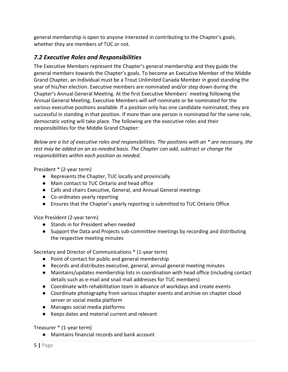general membership is open to anyone interested in contributing to the Chapter's goals, whether they are members of TUC or not.

#### <span id="page-4-0"></span>*7.2 Executive Roles and Responsibilities*

The Executive Members represent the Chapter's general membership and they guide the general members towards the Chapter's goals. To become an Executive Member of the Middle Grand Chapter, an individual must be a Trout Unlimited Canada Member in good standing the year of his/her election. Executive members are nominated and/or step down during the Chapter's Annual General Meeting. At the first Executive Members' meeting following the Annual General Meeting, Executive Members will self-nominate or be nominated for the various executive positions available. If a position only has one candidate nominated, they are successful in standing in that position. If more than one person is nominated for the same role, democratic voting will take place. The following are the executive roles and their responsibilities for the Middle Grand Chapter:

*Below are a list of executive roles and responsibilities. The positions with an \* are necessary, the rest may be added on an as-needed basis. The Chapter can add, subtract or change the responsibilities within each position as needed.*

President \* (2-year term)

- Represents the Chapter, TUC locally and provincially
- Main contact to TUC Ontario and head office
- Calls and chairs Executive, General, and Annual General meetings
- Co-ordinates yearly reporting
- Ensures that the Chapter's yearly reporting is submitted to TUC Ontario Office

Vice President (2-year term)

- Stands in for President when needed
- Support the Data and Projects sub-committee meetings by recording and distributing the respective meeting minutes

Secretary and Director of Communications \* (1-year term)

- Point of contact for public and general membership
- Records and distributes executive, general, annual general meeting minutes
- Maintains/updates membership lists in coordination with head office (including contact details such as e-mail and snail mail addresses for TUC members)
- Coordinate with rehabilitation team in advance of workdays and create events
- Coordinate photography from various chapter events and archive on chapter cloud server or social media platform
- Manages social media platforms
- Keeps dates and material current and relevant

Treasurer \* (1-year term)

● Maintains financial records and bank account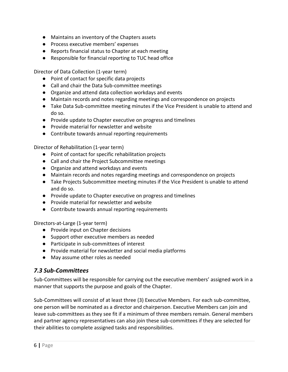- Maintains an inventory of the Chapters assets
- Process executive members' expenses
- Reports financial status to Chapter at each meeting
- Responsible for financial reporting to TUC head office

Director of Data Collection (1-year term)

- Point of contact for specific data projects
- Call and chair the Data Sub-committee meetings
- Organize and attend data collection workdays and events
- Maintain records and notes regarding meetings and correspondence on projects
- Take Data Sub-committee meeting minutes if the Vice President is unable to attend and do so.
- Provide update to Chapter executive on progress and timelines
- Provide material for newsletter and website
- Contribute towards annual reporting requirements

Director of Rehabilitation (1-year term)

- Point of contact for specific rehabilitation projects
- Call and chair the Project Subcommittee meetings
- Organize and attend workdays and events
- Maintain records and notes regarding meetings and correspondence on projects
- Take Projects Subcommittee meeting minutes if the Vice President is unable to attend and do so.
- Provide update to Chapter executive on progress and timelines
- Provide material for newsletter and website
- Contribute towards annual reporting requirements

Directors-at-Large (1-year term)

- Provide input on Chapter decisions
- Support other executive members as needed
- Participate in sub-committees of interest
- Provide material for newsletter and social media platforms
- May assume other roles as needed

#### <span id="page-5-0"></span>*7.3 Sub-Committees*

Sub-Committees will be responsible for carrying out the executive members' assigned work in a manner that supports the purpose and goals of the Chapter.

Sub-Committees will consist of at least three (3) Executive Members. For each sub-committee, one person will be nominated as a director and chairperson. Executive Members can join and leave sub-committees as they see fit if a minimum of three members remain. General members and partner agency representatives can also join these sub-committees if they are selected for their abilities to complete assigned tasks and responsibilities.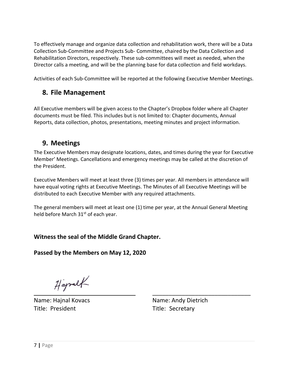To effectively manage and organize data collection and rehabilitation work, there will be a Data Collection Sub-Committee and Projects Sub- Committee, chaired by the Data Collection and Rehabilitation Directors, respectively. These sub-committees will meet as needed, when the Director calls a meeting, and will be the planning base for data collection and field workdays.

<span id="page-6-0"></span>Activities of each Sub-Committee will be reported at the following Executive Member Meetings.

## **8. File Management**

All Executive members will be given access to the Chapter's Dropbox folder where all Chapter documents must be filed. This includes but is not limited to: Chapter documents, Annual Reports, data collection, photos, presentations, meeting minutes and project information.

## <span id="page-6-1"></span>**9. Meetings**

The Executive Members may designate locations, dates, and times during the year for Executive Member' Meetings. Cancellations and emergency meetings may be called at the discretion of the President.

Executive Members will meet at least three (3) times per year. All members in attendance will have equal voting rights at Executive Meetings. The Minutes of all Executive Meetings will be distributed to each Executive Member with any required attachments.

The general members will meet at least one (1) time per year, at the Annual General Meeting held before March 31<sup>st</sup> of each year.

#### **Witness the seal of the Middle Grand Chapter.**

**Passed by the Members on May 12, 2020**

Happalt

Name: Hajnal Kovacs Name: Andy Dietrich Title: President Title: Secretary

\_\_\_\_\_\_\_\_\_\_\_\_\_\_\_\_\_\_\_\_\_\_\_\_\_\_\_\_\_\_